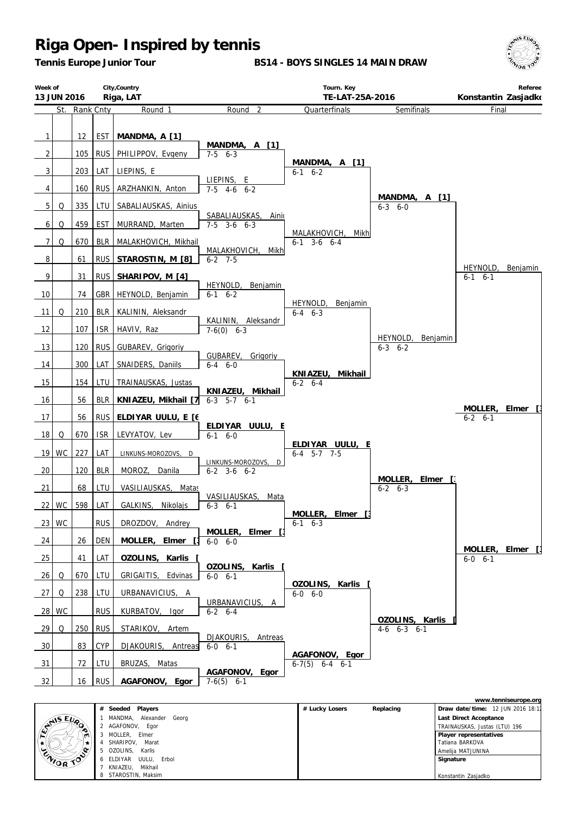*Tennis Europe Junior Tour*

**BS14 - BOYS SINGLES 14 MAIN DRAW**





|                                         |   |                             |                |           |                                   | www.tenniseurope.org |
|-----------------------------------------|---|-----------------------------|----------------|-----------|-----------------------------------|----------------------|
| <b>ANSEURO</b><br>m<br><b>ENIOR TOP</b> | # | Seeded Players              | # Lucky Losers | Replacing | Draw date/time: 12 JUN 2016 18:12 |                      |
|                                         |   | Alexander Georg<br>MANDMA,  |                |           | Last Direct Acceptance            |                      |
|                                         |   | 2 AGAFONOV,<br>Egor         |                |           | TRAINAUSKAS, Justas (LTU) 196     |                      |
|                                         |   | MOLLER.<br>Elmer            |                |           | Player representatives            |                      |
|                                         |   | SHARIPOV.<br>Marat          |                |           | Tatiana BARKOVA                   |                      |
|                                         |   | OZOLINS.<br>Karlis          |                |           | Amelija MATJUNINA                 |                      |
|                                         |   | Erbol<br>6 ELDIYAR<br>UULU. |                |           | Signature                         |                      |
|                                         |   | Mikhail<br>KNIAZEU.         |                |           |                                   |                      |
|                                         |   | 8 STAROSTIN, Maksim         |                |           | Konstantin Zasjadko               |                      |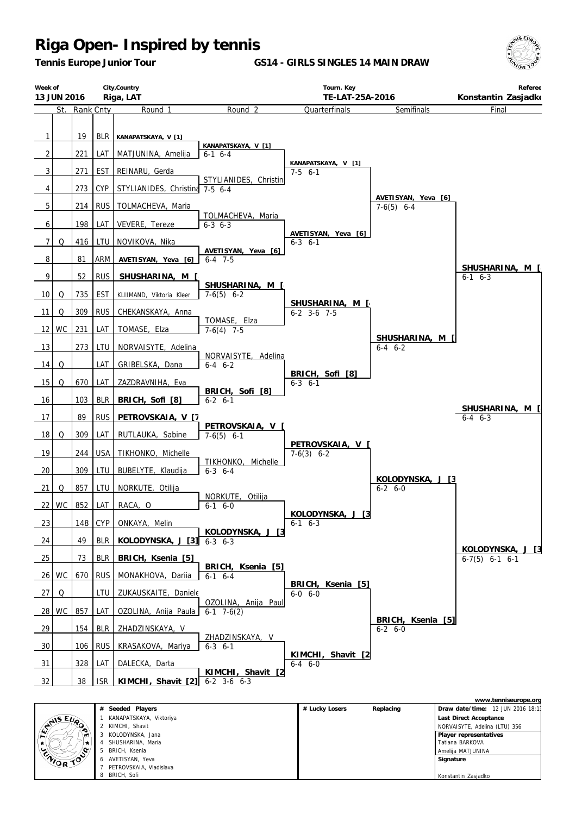*Tennis Europe Junior Tour*

**GS14 - GIRLS SINGLES 14 MAIN DRAW**





|          |                         |                |           |                                   | WWW.termisedi.upc.uru |
|----------|-------------------------|----------------|-----------|-----------------------------------|-----------------------|
|          | # Seeded Players        | # Lucky Losers | Replacing | Draw date/time: 12 JUN 2016 18:11 |                       |
| CANS EVA | KANAPATSKAYA, Viktoriya |                |           | Last Direct Acceptance            |                       |
|          | KIMCHI, Shavit          |                |           | NORVAISYTE, Adelina (LTU) 356     |                       |
|          | KOLODYNSKA, Jana        |                |           | Player representatives            |                       |
| ENIOR TO | SHUSHARINA, Maria       |                |           | Tatiana BARKOVA                   |                       |
|          | BRICH, Ksenia           |                |           | Amelija MATJUNINA                 |                       |
|          | 6 AVETISYAN, Yeva       |                |           | Signature                         |                       |
|          | PETROVSKAIA, Vladislava |                |           |                                   |                       |
|          | BRICH, Sofi             |                |           | Konstantin Zasjadko               |                       |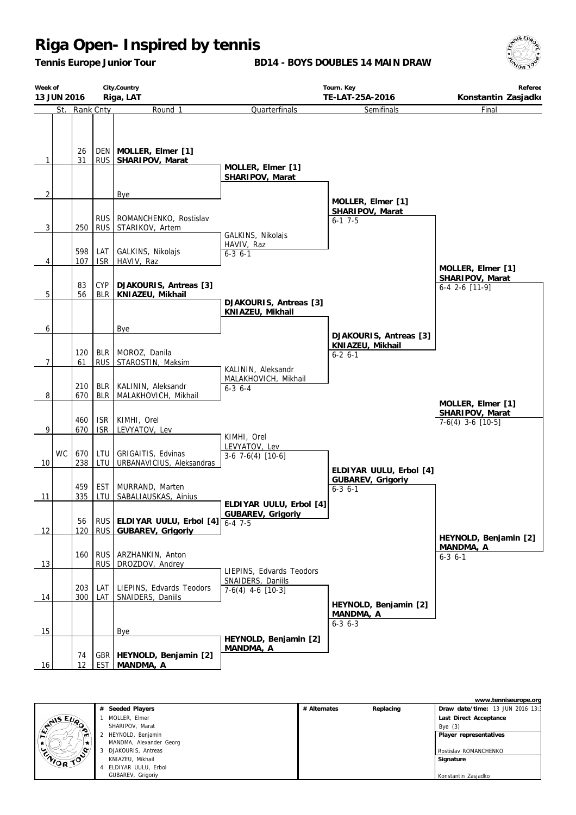*Tennis Europe Junior Tour*

**BD14 - BOYS DOUBLES 14 MAIN DRAW**



| Week of<br>13 JUN 2016 | City, Country<br>Riga, LAT |                          |                                                                        | Tourn. Key<br>TE-LAT-25A-2016<br>Konstantin Zasjadko       |                                                             |                                          |  |
|------------------------|----------------------------|--------------------------|------------------------------------------------------------------------|------------------------------------------------------------|-------------------------------------------------------------|------------------------------------------|--|
|                        | St. Rank Cnty              |                          | Round 1                                                                | Quarterfinals                                              | Semifinals                                                  | Final                                    |  |
| $\mathbf{1}$           | 26<br>31                   |                          | DEN   MOLLER, Elmer [1]<br>RUS   SHARIPOV, Marat                       | MOLLER, Elmer [1]                                          |                                                             |                                          |  |
| $\overline{2}$         |                            |                          | Bye                                                                    | SHARIPOV, Marat                                            |                                                             |                                          |  |
| 3                      | 250                        | <b>RUS</b>               | RUS ROMANCHENKO, Rostislav<br>STARIKOV, Artem                          | GALKINS, Nikolajs                                          | MOLLER, Elmer [1]<br>SHARIPOV, Marat<br>$6-1$ 7-5           |                                          |  |
| 4                      | 598<br>107                 | LAT<br><b>ISR</b>        | GALKINS, Nikolajs<br>HAVIV, Raz                                        | HAVIV, Raz<br>$6 - 3 6 - 1$                                |                                                             | MOLLER, Elmer [1]                        |  |
| 5                      | 83<br>56                   | <b>CYP</b><br>BLR        | DJAKOURIS, Antreas [3]<br>KNIAZEU, Mikhail                             |                                                            |                                                             | SHARIPOV, Marat<br>6-4 2-6 [11-9]        |  |
| 6                      |                            |                          | Bye                                                                    | DJAKOURIS, Antreas [3]<br>KNIAZEU, Mikhail                 |                                                             |                                          |  |
| $\overline{7}$         | 120<br>61                  | <b>BLR</b><br><b>RUS</b> | MOROZ, Danila<br>STAROSTIN, Maksim                                     | KALININ, Aleksandr                                         | DJAKOURIS, Antreas [3]<br>KNIAZEU, Mikhail<br>$6 - 2 6 - 1$ |                                          |  |
| 8                      | 210<br>670                 | <b>BLR</b><br><b>BLR</b> | KALININ, Aleksandr<br>MALAKHOVICH, Mikhail                             | MALAKHOVICH, Mikhail<br>$6 - 3$ $6 - 4$                    |                                                             | MOLLER, Elmer [1]                        |  |
| 9                      | 460<br>670                 | <b>ISR</b><br><b>ISR</b> | KIMHI, Orel<br>LEVYATOV, Lev                                           |                                                            |                                                             | SHARIPOV, Marat<br>$7-6(4)$ 3-6 $[10-5]$ |  |
| <b>WC</b><br>10        | 670<br>238                 | LTU<br>LTU               | GRIGAITIS, Edvinas<br>URBANAVICIUS, Aleksandras                        | KIMHI, Orel<br>LEVYATOV, Lev<br>$3-6$ 7 $-6(4)$ [10 $-6$ ] | ELDIYAR UULU, Erbol [4]                                     |                                          |  |
| 11                     | 459<br>335                 | <b>EST</b><br>LTU        | MURRAND, Marten<br>SABALIAUSKAS, Ainius                                | ELDIYAR UULU, Erbol [4]                                    | GUBAREV, Grigoriy<br>$6 - 3$ $6 - 1$                        |                                          |  |
| 12                     | 56                         |                          | RUS ELDIYAR UULU, Erbol $[4]$ 6-4 7-5<br>120   RUS   GUBAREV, Grigoriy | <b>GUBAREV, Grigoriv</b>                                   |                                                             | HEYNOLD, Benjamin [2]                    |  |
| 13                     |                            | rus.                     | 160   RUS   ARZHANKIN, Anton<br>DROZDOV, Andrey                        | LIEPINS, Edvards Teodors                                   |                                                             | MANDMA, A<br>$6 - 3$ $6 - 1$             |  |
| 14                     | 300 l                      | 203   LAT<br>LAT         | LIEPINS, Edvards Teodors<br>SNAIDERS, Daniils                          | SNAIDERS, Daniils<br>$7-6(4)$ 4-6 [10-3]                   | HEYNOLD, Benjamin [2]                                       |                                          |  |
| 15                     |                            |                          | <b>Bye</b>                                                             | HEYNOLD, Benjamin [2]                                      | MANDMA, A<br>$6 - 3$ $6 - 3$                                |                                          |  |
| 16                     | 74<br>12                   |                          | GBR   HEYNOLD, Benjamin [2]<br>EST MANDMA, A                           | MANDMA, A                                                  |                                                             |                                          |  |

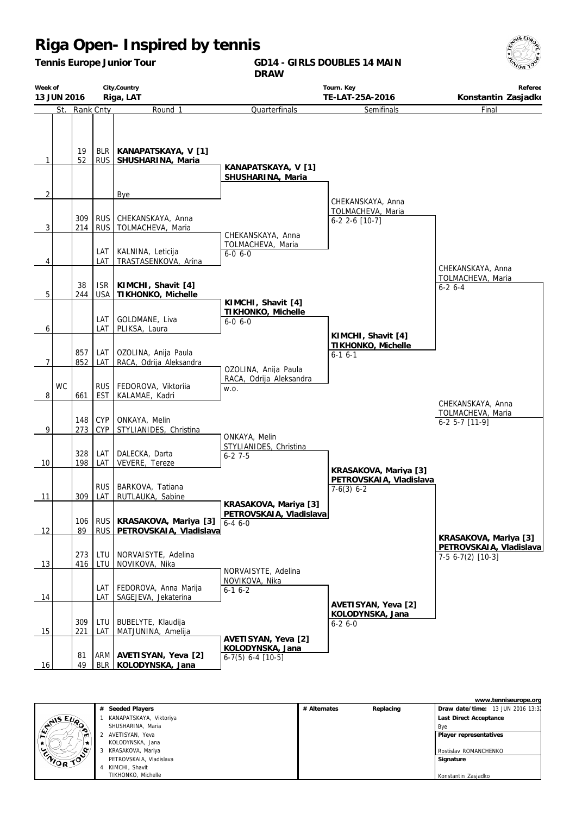*Tennis Europe Junior Tour*

**GD14 - GIRLS DOUBLES 14 MAIN DRAW**



| Week of        | City, Country<br>Riga, LAT<br>13 JUN 2016 |               | Tourn. Key<br>TE-LAT-25A-2016 |                                                              |                                                                  | Referee<br>Konstantin Zasjadko                                   |                                                                        |
|----------------|-------------------------------------------|---------------|-------------------------------|--------------------------------------------------------------|------------------------------------------------------------------|------------------------------------------------------------------|------------------------------------------------------------------------|
|                |                                           | St. Rank Cnty |                               | Round <sub>1</sub>                                           | Quarterfinals                                                    | Semifinals                                                       | Final                                                                  |
| $\mathbf{1}$   |                                           | 19<br>52      | BLR  <br><b>RUS</b>           | KANAPATSKAYA, V [1]<br>SHUSHARINA, Maria                     | KANAPATSKAYA, V [1]<br>SHUSHARINA, Maria                         |                                                                  |                                                                        |
| $\overline{2}$ |                                           |               |                               | Bye                                                          |                                                                  |                                                                  |                                                                        |
| 3              |                                           | 309<br>214    | <b>RUS</b><br><b>RUS</b>      | CHEKANSKAYA, Anna<br>TOLMACHEVA, Maria                       | CHEKANSKAYA, Anna                                                | CHEKANSKAYA, Anna<br>TOLMACHEVA, Maria<br>$6-2$ 2-6 [10-7]       |                                                                        |
|                |                                           |               | LAT                           | KALNINA, Leticija                                            | TOLMACHEVA, Maria                                                |                                                                  |                                                                        |
| 4              |                                           |               | LAT                           | TRASTASENKOVA, Arina                                         | $6 - 0 6 - 0$                                                    |                                                                  |                                                                        |
| 5              |                                           | 38<br>244     | <b>ISR</b><br><b>USA</b>      | KIMCHI, Shavit [4]<br>TIKHONKO, Michelle                     |                                                                  |                                                                  | CHEKANSKAYA, Anna<br>TOLMACHEVA, Maria<br>$6 - 26 - 4$                 |
| 6              |                                           |               | LAT<br>LAT                    | GOLDMANE, Liva<br>PLIKSA, Laura                              | KIMCHI, Shavit [4]<br>TIKHONKO, Michelle<br>$6 - 0 6 - 0$        |                                                                  |                                                                        |
| $\overline{7}$ |                                           | 857<br>852    | LAT<br>LAT                    | OZOLINA, Anija Paula<br>RACA, Odrija Aleksandra              |                                                                  | KIMCHI, Shavit [4]<br>TIKHONKO, Michelle<br>$6-16-1$             |                                                                        |
| 8              | WC                                        | 661           | <b>RUS</b><br><b>EST</b>      | FEDOROVA, Viktoriia<br>KALAMAE, Kadri                        | OZOLINA, Anija Paula<br>RACA, Odrija Aleksandra<br>W.O.          |                                                                  |                                                                        |
| 9              |                                           | 148<br>273    | <b>CYP</b><br><b>CYP</b>      | ONKAYA, Melin<br>STYLIANIDES, Christina                      |                                                                  |                                                                  | CHEKANSKAYA, Anna<br>TOLMACHEVA, Maria<br>$6-2$ 5-7 [11-9]             |
| 10             |                                           | 328<br>198    | LAT<br>LAT                    | DALECKA, Darta<br>VEVERE, Tereze                             | ONKAYA, Melin<br>STYLIANIDES, Christina<br>$6 - 27 - 5$          |                                                                  |                                                                        |
| 11             |                                           | 309           | RUS  <br>LAT                  | BARKOVA, Tatiana<br>RUTLAUKA, Sabine                         |                                                                  | KRASAKOVA, Mariya [3]<br>PETROVSKAIA, Vladislava<br>$7-6(3)$ 6-2 |                                                                        |
| 12             |                                           | 106<br>89     |                               | RUS   KRASAKOVA, Mariya [3]<br>RUS   PETROVSKAIA, Vladislava | KRASAKOVA, Mariya [3]<br>PETROVSKAIA, Vladislava<br>$6 - 46 - 0$ |                                                                  |                                                                        |
| 13             |                                           | 273<br>416    | LTU<br>LTU                    | NORVAISYTE, Adelina<br>NOVIKOVA, Nika                        |                                                                  |                                                                  | KRASAKOVA, Mariya [3]<br>PETROVSKAIA, Vladislava<br>$7-56-7(2)$ [10-3] |
| 14             |                                           |               | LAT<br>LAT                    | FEDOROVA, Anna Marija<br>SAGEJEVA, Jekaterina                | NORVAISYTE, Adelina<br>NOVIKOVA, Nika<br>$6-16-2$                |                                                                  |                                                                        |
| 15             |                                           | 309<br>221    | LTU<br>LAT                    | BUBELYTE, Klaudija<br>MATJUNINA, Amelija                     |                                                                  | AVETISYAN, Yeva [2]<br>KOLODYNSKA, Jana<br>$6 - 26 - 0$          |                                                                        |
| 16             |                                           | 81<br>49      |                               | ARM   AVETISYAN, Yeva [2]<br>BLR KOLODYNSKA, Jana            | AVETISYAN, Yeva [2]<br>KOLODYNSKA, Jana<br>$6-7(5)$ 6-4 [10-5]   |                                                                  |                                                                        |

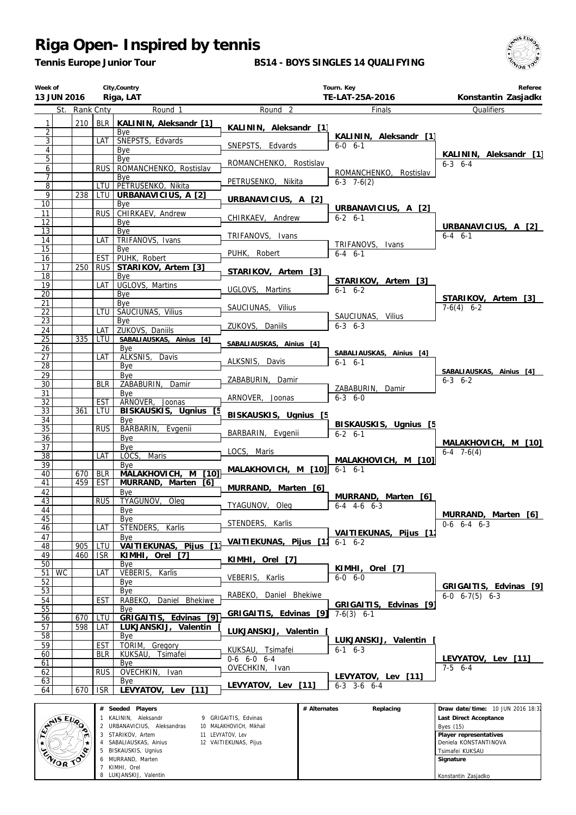*Tennis Europe Junior Tour*

#### **BS14 - BOYS SINGLES 14 QUALIFYING**



 **Player representatives** Deniela KONSTANTINOVA Tsimafei KUKSAU  **Signature**

Konstantin Zasjadko

| Week of<br>13 JUN 2016             |               |                          | City, Country<br>Riga, LAT                                    |                                                 |              | Tourn. Key<br>TE-LAT-25A-2016      | Referee<br>Konstantin Zasjadko      |
|------------------------------------|---------------|--------------------------|---------------------------------------------------------------|-------------------------------------------------|--------------|------------------------------------|-------------------------------------|
|                                    | St. Rank Cnty |                          | Round 1                                                       | Round <sub>2</sub>                              |              | Finals                             | Qualifiers                          |
| $\mathbf{1}$                       | 210           | BLR                      | KALININ, Aleksandr [1]                                        | KALININ, Aleksandr [1]                          |              |                                    |                                     |
| $\overline{c}$                     |               |                          | <b>B</b> ve                                                   |                                                 |              | KALININ, Aleksandr [1]             |                                     |
| $\overline{3}$                     |               | LAT                      | SNEPSTS, Edvards                                              | SNEPSTS, Edvards                                |              | $6 - 0 6 - 1$                      |                                     |
| $\overline{4}$<br>5                |               |                          | Bye<br>Bye                                                    |                                                 |              |                                    | KALININ, Aleksandr [1]              |
| $\overline{6}$                     |               | <b>RUS</b>               | ROMANCHENKO, Rostislav                                        | ROMANCHENKO, Rostislav                          |              |                                    | $6-3$ $6-4$                         |
| 7                                  |               |                          | Bye                                                           |                                                 |              | ROMANCHENKO, Rostislav             |                                     |
| $\overline{8}$                     |               | LTU                      | PETRUSENKO, Nikita                                            | PETRUSENKO, Nikita                              |              | $6-3$ 7-6(2)                       |                                     |
| 9                                  | 238           | LTU I                    | URBANAVICIUS, A [2]                                           | URBANAVICIUS, A [2]                             |              |                                    |                                     |
| $\overline{10}$                    |               | <b>RUS</b>               | Bye<br>CHIRKAEV, Andrew                                       |                                                 |              | URBANAVICIUS, A [2]                |                                     |
| 11<br>$\overline{12}$              |               |                          | Bye                                                           | CHIRKAEV, Andrew                                |              | $6 - 2 6 - 1$                      |                                     |
| 13                                 |               |                          | Bye                                                           |                                                 |              |                                    | URBANAVICIUS, A [2]                 |
| 14                                 |               | LAT                      | TRIFANOVS, Ivans                                              | TRIFANOVS, Ivans                                |              | TRIFANOVS, Ivans                   | $6 - 4$ $6 - 1$                     |
| $\overline{15}$                    |               |                          | Bye                                                           | PUHK, Robert                                    |              | $6-4$ $6-1$                        |                                     |
| 16<br>17                           | 250           | <b>EST</b><br><b>RUS</b> | PUHK, Robert                                                  |                                                 |              |                                    |                                     |
| $\overline{18}$                    |               |                          | STARIKOV, Artem [3]<br>Bye                                    | STARIKOV, Artem [3]                             |              |                                    |                                     |
| 19                                 |               | LAT                      | UGLOVS, Martins                                               |                                                 |              | STARIKOV, Artem [3]                |                                     |
| $\overline{20}$                    |               |                          | Bye                                                           | UGLOVS, Martins                                 |              | $6-1$ $6-2$                        | STARIKOV, Artem [3]                 |
| 21                                 |               |                          | Bye                                                           | SAUCIUNAS, Vilius                               |              |                                    | $7-6(4)$ 6-2                        |
| 22                                 |               | <b>LTU</b>               | SAUCIUNAS, Vilius                                             |                                                 |              | SAUCIUNAS, Vilius                  |                                     |
| $\overline{23}$                    |               | LAT                      | Bye<br>ZUKOVS, Daniils                                        | ZUKOVS, Daniils                                 |              | $6 - 3$ $6 - 3$                    |                                     |
| 24<br>$\overline{25}$              | 335           | LTU                      | SABALIAUSKAS, Ainius [4]                                      |                                                 |              |                                    |                                     |
| 26                                 |               |                          | Bye                                                           | SABALIAUSKAS, Ainius [4]                        |              |                                    |                                     |
| 27                                 |               | LAT                      | ALKSNIS,<br>Davis                                             | ALKSNIS, Davis                                  |              | SABALIAUSKAS, Ainius [4]           |                                     |
| $\overline{28}$                    |               |                          | Bye                                                           |                                                 |              | $6-1$ $6-1$                        | SABALIAUSKAS, Ainius [4]            |
| 29                                 |               |                          | Bye                                                           | ZABABURIN, Damir                                |              |                                    | $6 - 3$ $6 - 2$                     |
| $\overline{30}$<br>31              |               | <b>BLR</b>               | ZABABURIN,<br>Damir<br>Bye                                    |                                                 |              | ZABABURIN, Damir                   |                                     |
| $\overline{32}$                    |               | <b>EST</b>               | ARNOVER, Joonas                                               | ARNOVER, Joonas                                 |              | $6 - 3 6 - 0$                      |                                     |
| 33                                 | 361           | LTU                      | BISKAUSKIS, Ugnius                                            | BISKAUSKIS, Ugnius [5                           |              |                                    |                                     |
| 34                                 |               |                          | Bye                                                           |                                                 |              | BISKAUSKIS, Ugnius [5              |                                     |
| $\overline{35}$                    |               | <b>RUS</b>               | BARBARIN, Evgenii                                             | BARBARIN, Evgenii                               |              | $6 - 2 6 - 1$                      |                                     |
| $\overline{36}$<br>$\overline{37}$ |               |                          | Bye<br>Bye                                                    |                                                 |              |                                    | MALAKHOVICH, M [10]                 |
| $\overline{38}$                    |               | LAT                      | <b>Maris</b><br>LOCS,                                         | LOCS, Maris                                     |              |                                    | $6-4$ 7 $-6(4)$                     |
| 39                                 |               |                          | Bye                                                           |                                                 |              | MALAKHOVICH, M [10]<br>$6-1$ $6-1$ |                                     |
| 40                                 | 670           | <b>BLR</b>               | $\overline{10}$<br>MALAKHOVICH,<br>M                          | MALAKHOVICH, M [10]                             |              |                                    |                                     |
| 41                                 | 459           | EST                      | MURRAND,<br>Marten<br>[6]                                     | MURRAND, Marten [6]                             |              |                                    |                                     |
| 42<br>43                           |               | <b>RUS</b>               | Bve<br>TYAGUNOV,<br>Oleg                                      |                                                 |              | MURRAND, Marten [6]                |                                     |
| 44                                 |               |                          | Bye                                                           | TYAGUNOV, Oleg                                  |              | $6-4$ $4-6$ $6-3$                  |                                     |
| $\overline{45}$                    |               |                          | Bye                                                           |                                                 |              |                                    | MURRAND, Marten [6]                 |
| 46                                 |               | LAT                      | STENDERS,<br>Karlis                                           | STENDERS, Karlis                                |              | VAITIEKUNAS, Pijus [1]             | $0-6$ 6-4 6-3                       |
| 47                                 |               |                          | Bye                                                           | VAITIEKUNAS, Pijus [1]                          |              | $6-1$ $6-2$                        |                                     |
| 48<br>49                           | 905<br>460    | LTU<br>ISR.              | VAITIEKUNAS,<br>Pijus<br>$\lceil 1 \rceil$<br>KIMHI, Orel [7] |                                                 |              |                                    |                                     |
| $\overline{50}$                    |               |                          | Bye                                                           | KIMHI, Orel [7]                                 |              |                                    |                                     |
| 51 WC                              |               | LAT                      | VEBERIS,<br>Karlis                                            |                                                 |              | KIMHI, Orel [7]                    |                                     |
| 52                                 |               |                          | Bye                                                           | VEBERIS, Karlis                                 |              | $6 - 0 6 - 0$                      | GRIGAITIS, Edvinas [9]              |
| 53                                 |               |                          | Bye                                                           | RABEKO,<br>Daniel Bhekiwe                       |              |                                    | $6-0$ $6-7(5)$ $6-3$                |
| 54                                 |               | <b>EST</b>               | Daniel Bhekiwe<br>RABEKO,                                     |                                                 |              | GRIGAITIS, Edvinas [9]             |                                     |
| $\overline{55}$<br>56              | 670           | LTU                      | Bye<br>GRIGAITIS, Edvinas [9]                                 | GRIGAITIS, Edvinas [9]                          |              | $7-6(3)$ 6-1                       |                                     |
| 57                                 | 598           | LAT                      | LUKJANSKIJ, Valentin                                          |                                                 |              |                                    |                                     |
| 58                                 |               |                          | Bye                                                           | LUKJANSKIJ, Valentin                            |              | LUKJANSKIJ, Valentin               |                                     |
| 59                                 |               | EST                      | TORIM,<br>Gregory                                             | KUKSAU, Tsimafei                                |              | $6-1$ $6-3$                        |                                     |
| 60                                 |               | <b>BLR</b>               | KUKSAU, Tsimafei                                              | $0-6$ 6-0 6-4                                   |              |                                    | LEVYATOV, Lev [11]                  |
| 61<br>62                           |               | <b>RUS</b>               | Bye<br>OVECHKIN,<br>Ivan                                      | OVECHKIN, Ivan                                  |              |                                    | $7-5$ 6-4                           |
| 63                                 |               |                          | Bye                                                           |                                                 |              | LEVYATOV, Lev [11]                 |                                     |
| 64                                 | 670           | <b>ISR</b>               | $[11]$<br>LEVYATOV,<br>Lev                                    | LEVYATOV, Lev [11]                              |              | $6-3$ 3-6 $6-4$                    |                                     |
|                                    |               |                          |                                                               |                                                 |              |                                    |                                     |
|                                    |               |                          | $#$ Seeded Players                                            |                                                 | # Alternates | Replacing                          | Draw date/time: 10 JUN 2016 18:32   |
| <b>AIS EVA</b>                     |               |                          | 1 KALININ, Aleksandr<br>2 URBANAVICIUS, Aleksandras           | 9 GRIGAITIS, Edvinas<br>10 MALAKHOVICH, Mikhail |              |                                    | Last Direct Acceptance<br>Byes (15) |

 STARIKOV, Artem SABALIAUSKAS, Ainius BISKAUSKIS, Ugnius MURRAND, Marten KIMHI, Orel LUKJANSKIJ, Valentin

ENORTO S

11 LEVYATOV, Lev 12 VAITIEKUNAS, Pijus